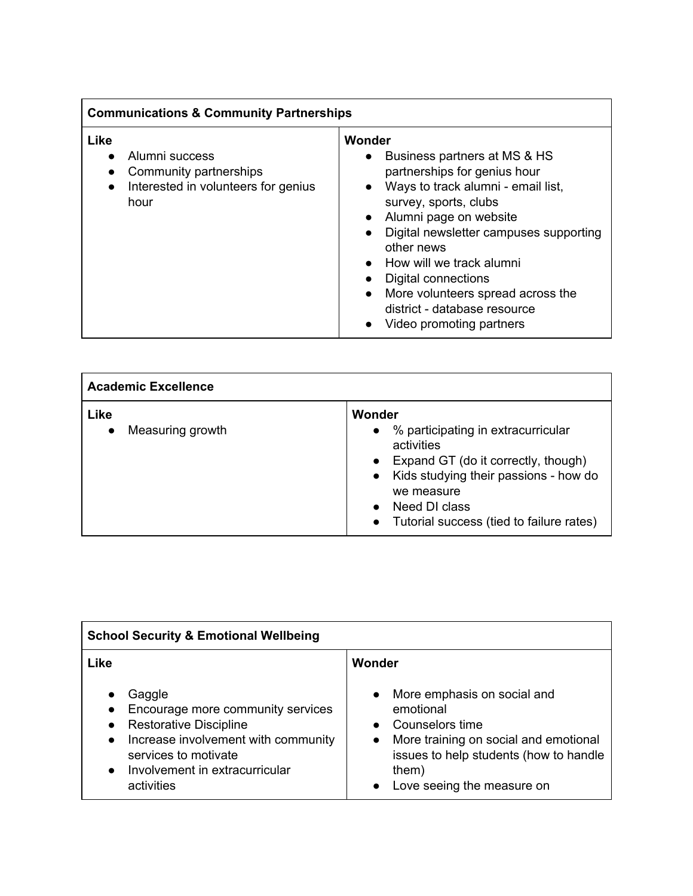| <b>Communications &amp; Community Partnerships</b> |                                                                                         |                                                                                                                                                                                                                                                                                                                                                                                                                                                           |  |  |
|----------------------------------------------------|-----------------------------------------------------------------------------------------|-----------------------------------------------------------------------------------------------------------------------------------------------------------------------------------------------------------------------------------------------------------------------------------------------------------------------------------------------------------------------------------------------------------------------------------------------------------|--|--|
| Like<br>$\bullet$                                  | Alumni success<br>Community partnerships<br>Interested in volunteers for genius<br>hour | Wonder<br>Business partners at MS & HS<br>$\bullet$<br>partnerships for genius hour<br>Ways to track alumni - email list,<br>$\bullet$<br>survey, sports, clubs<br>Alumni page on website<br>$\bullet$<br>Digital newsletter campuses supporting<br>$\bullet$<br>other news<br>How will we track alumni<br>Digital connections<br>More volunteers spread across the<br>$\bullet$<br>district - database resource<br>Video promoting partners<br>$\bullet$ |  |  |

| <b>Academic Excellence</b>            |                                                                                                                                                                                                                                            |  |  |  |
|---------------------------------------|--------------------------------------------------------------------------------------------------------------------------------------------------------------------------------------------------------------------------------------------|--|--|--|
| Like<br>Measuring growth<br>$\bullet$ | Wonder<br>• % participating in extracurricular<br>activities<br>• Expand GT (do it correctly, though)<br>• Kids studying their passions - how do<br>we measure<br>Need DI class<br>$\bullet$<br>• Tutorial success (tied to failure rates) |  |  |  |

| <b>School Security &amp; Emotional Wellbeing</b>                                                                                                                                                         |                                                                                                                                                                                                                              |  |  |  |
|----------------------------------------------------------------------------------------------------------------------------------------------------------------------------------------------------------|------------------------------------------------------------------------------------------------------------------------------------------------------------------------------------------------------------------------------|--|--|--|
| Like                                                                                                                                                                                                     | Wonder                                                                                                                                                                                                                       |  |  |  |
| Gaggle<br>Encourage more community services<br><b>Restorative Discipline</b><br>Increase involvement with community<br>$\bullet$<br>services to motivate<br>Involvement in extracurricular<br>activities | More emphasis on social and<br>$\bullet$<br>emotional<br>Counselors time<br>$\bullet$<br>More training on social and emotional<br>$\bullet$<br>issues to help students (how to handle<br>them)<br>Love seeing the measure on |  |  |  |